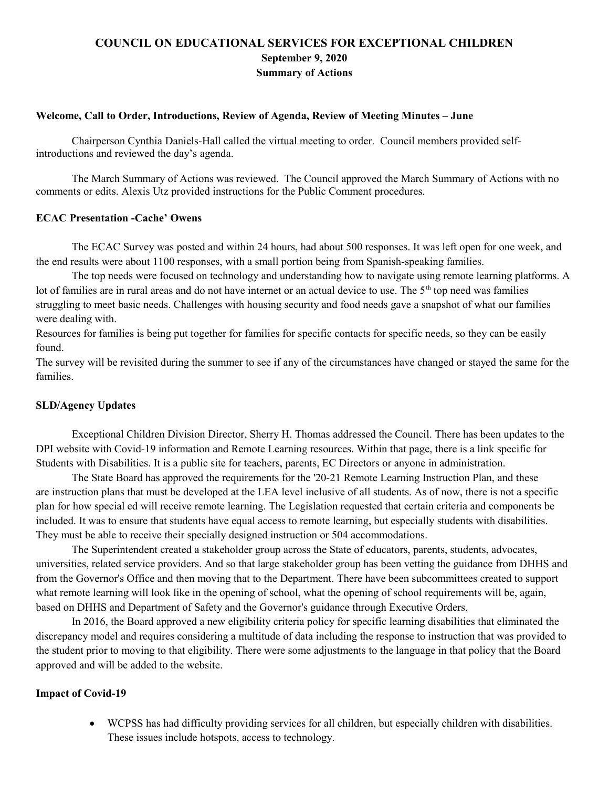# **COUNCIL ON EDUCATIONAL SERVICES FOR EXCEPTIONAL CHILDREN September 9, 2020 Summary of Actions**

#### **Welcome, Call to Order, Introductions, Review of Agenda, Review of Meeting Minutes – June**

Chairperson Cynthia Daniels-Hall called the virtual meeting to order. Council members provided selfintroductions and reviewed the day's agenda.

The March Summary of Actions was reviewed. The Council approved the March Summary of Actions with no comments or edits. Alexis Utz provided instructions for the Public Comment procedures.

#### **ECAC Presentation -Cache' Owens**

The ECAC Survey was posted and within 24 hours, had about 500 responses. It was left open for one week, and the end results were about 1100 responses, with a small portion being from Spanish-speaking families.

The top needs were focused on technology and understanding how to navigate using remote learning platforms. A lot of families are in rural areas and do not have internet or an actual device to use. The 5<sup>th</sup> top need was families struggling to meet basic needs. Challenges with housing security and food needs gave a snapshot of what our families were dealing with.

Resources for families is being put together for families for specific contacts for specific needs, so they can be easily found.

The survey will be revisited during the summer to see if any of the circumstances have changed or stayed the same for the families.

## **SLD/Agency Updates**

Exceptional Children Division Director, Sherry H. Thomas addressed the Council. There has been updates to the DPI website with Covid-19 information and Remote Learning resources. Within that page, there is a link specific for Students with Disabilities. It is a public site for teachers, parents, EC Directors or anyone in administration.

The State Board has approved the requirements for the '20-21 Remote Learning Instruction Plan, and these are instruction plans that must be developed at the LEA level inclusive of all students. As of now, there is not a specific plan for how special ed will receive remote learning. The Legislation requested that certain criteria and components be included. It was to ensure that students have equal access to remote learning, but especially students with disabilities. They must be able to receive their specially designed instruction or 504 accommodations.

The Superintendent created a stakeholder group across the State of educators, parents, students, advocates, universities, related service providers. And so that large stakeholder group has been vetting the guidance from DHHS and from the Governor's Office and then moving that to the Department. There have been subcommittees created to support what remote learning will look like in the opening of school, what the opening of school requirements will be, again, based on DHHS and Department of Safety and the Governor's guidance through Executive Orders.

In 2016, the Board approved a new eligibility criteria policy for specific learning disabilities that eliminated the discrepancy model and requires considering a multitude of data including the response to instruction that was provided to the student prior to moving to that eligibility. There were some adjustments to the language in that policy that the Board approved and will be added to the website.

## **Impact of Covid-19**

 WCPSS has had difficulty providing services for all children, but especially children with disabilities. These issues include hotspots, access to technology.